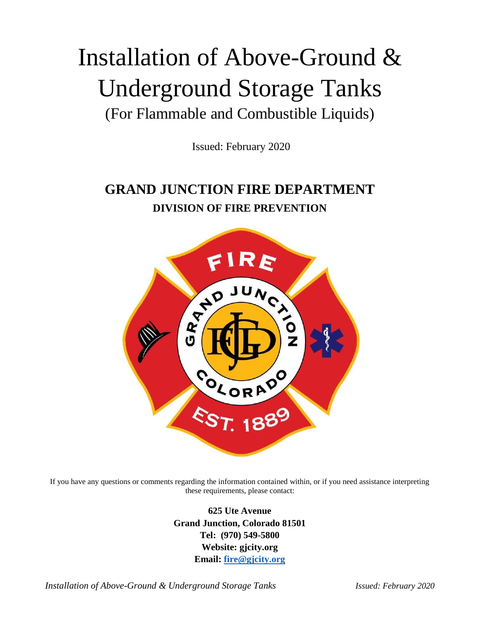# Installation of Above-Ground & Underground Storage Tanks (For Flammable and Combustible Liquids)

Issued: February 2020

# **GRAND JUNCTION FIRE DEPARTMENT DIVISION OF FIRE PREVENTION**



If you have any questions or comments regarding the information contained within, or if you need assistance interpreting these requirements, please contact:

> **625 Ute Avenue Grand Junction, Colorado 81501 Tel: (970) 549-5800 Website: gjcity.org Email: [fire@gjcity.org](mailto:fire@gjcity.org)**

*Installation of Above-Ground & Underground Storage Tanks Issued: February 2020*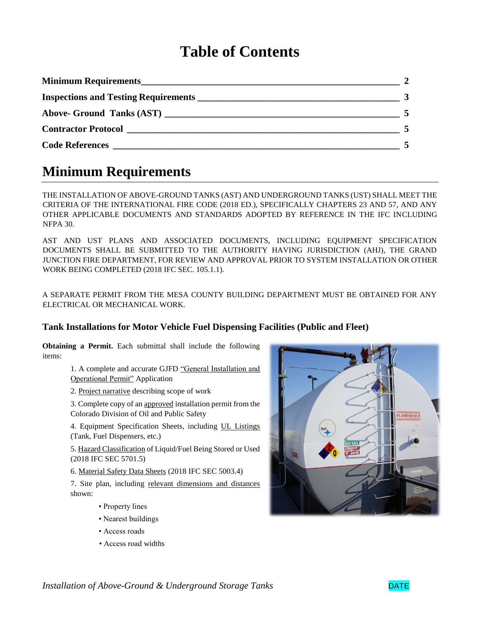# **Table of Contents**

| Above- Ground Tanks (AST)  |  |
|----------------------------|--|
| <b>Contractor Protocol</b> |  |
| Code References            |  |

### **Minimum Requirements**

THE INSTALLATION OF ABOVE-GROUND TANKS (AST) AND UNDERGROUND TANKS (UST) SHALL MEET THE CRITERIA OF THE INTERNATIONAL FIRE CODE (2018 ED.), SPECIFICALLY CHAPTERS 23 AND 57, AND ANY OTHER APPLICABLE DOCUMENTS AND STANDARDS ADOPTED BY REFERENCE IN THE IFC INCLUDING NFPA 30.

AST AND UST PLANS AND ASSOCIATED DOCUMENTS, INCLUDING EQUIPMENT SPECIFICATION DOCUMENTS SHALL BE SUBMITTED TO THE AUTHORITY HAVING JURISDICTION (AHJ), THE GRAND JUNCTION FIRE DEPARTMENT, FOR REVIEW AND APPROVAL PRIOR TO SYSTEM INSTALLATION OR OTHER WORK BEING COMPLETED (2018 IFC SEC. 105.1.1).

A SEPARATE PERMIT FROM THE MESA COUNTY BUILDING DEPARTMENT MUST BE OBTAINED FOR ANY ELECTRICAL OR MECHANICAL WORK.

#### **Tank Installations for Motor Vehicle Fuel Dispensing Facilities (Public and Fleet)**

**Obtaining a Permit.** Each submittal shall include the following items:

> 1. A complete and accurate GJFD "General Installation and Operational Permit" Application

2. Project narrative describing scope of work

3. Complete copy of an approved installation permit from the Colorado Division of Oil and Public Safety

4. Equipment Specification Sheets, including UL Listings (Tank, Fuel Dispensers, etc.)

5. Hazard Classification of Liquid/Fuel Being Stored or Used (2018 IFC SEC 5701.5)

6. Material Safety Data Sheets (2018 IFC SEC 5003.4)

7. Site plan, including relevant dimensions and distances shown:

- Property lines
- Nearest buildings
- Access roads
- Access road widths



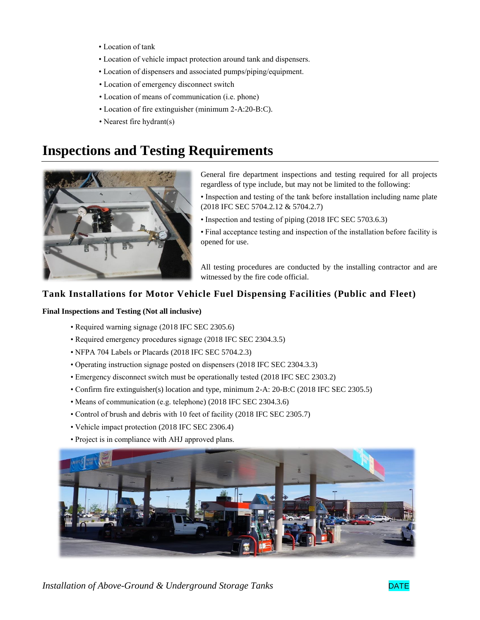- Location of tank
- Location of vehicle impact protection around tank and dispensers.
- Location of dispensers and associated pumps/piping/equipment.
- Location of emergency disconnect switch
- Location of means of communication (i.e. phone)
- Location of fire extinguisher (minimum 2-A:20-B:C).
- Nearest fire hydrant(s)

### **Inspections and Testing Requirements**



General fire department inspections and testing required for all projects regardless of type include, but may not be limited to the following:

- Inspection and testing of the tank before installation including name plate (2018 IFC SEC 5704.2.12 & 5704.2.7)
- Inspection and testing of piping (2018 IFC SEC 5703.6.3)

• Final acceptance testing and inspection of the installation before facility is opened for use.

All testing procedures are conducted by the installing contractor and are witnessed by the fire code official.

#### **Tank Installations for Motor Vehicle Fuel Dispensing Facilities (Public and Fleet)**

#### **Final Inspections and Testing (Not all inclusive)**

- Required warning signage (2018 IFC SEC 2305.6)
- Required emergency procedures signage (2018 IFC SEC 2304.3.5)
- NFPA 704 Labels or Placards (2018 IFC SEC 5704.2.3)
- Operating instruction signage posted on dispensers (2018 IFC SEC 2304.3.3)
- Emergency disconnect switch must be operationally tested (2018 IFC SEC 2303.2)
- Confirm fire extinguisher(s) location and type, minimum 2-A: 20-B:C (2018 IFC SEC 2305.5)
- Means of communication (e.g. telephone) (2018 IFC SEC 2304.3.6)
- Control of brush and debris with 10 feet of facility (2018 IFC SEC 2305.7)
- Vehicle impact protection (2018 IFC SEC 2306.4)
- Project is in compliance with AHJ approved plans.



*Installation of Above-Ground & Underground Storage Tanks* DATE

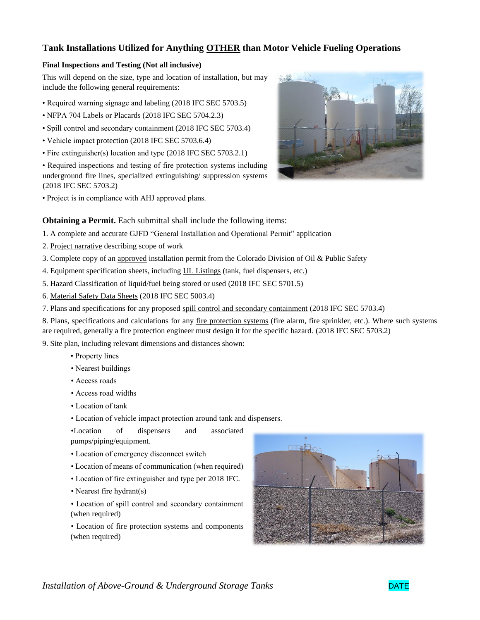#### **Tank Installations Utilized for Anything OTHER than Motor Vehicle Fueling Operations**

#### **Final Inspections and Testing (Not all inclusive)**

This will depend on the size, type and location of installation, but may include the following general requirements:

- Required warning signage and labeling (2018 IFC SEC 5703.5)
- NFPA 704 Labels or Placards (2018 IFC SEC 5704.2.3)
- Spill control and secondary containment (2018 IFC SEC 5703.4)
- Vehicle impact protection (2018 IFC SEC 5703.6.4)
- Fire extinguisher(s) location and type (2018 IFC SEC 5703.2.1)
- Required inspections and testing of fire protection systems including underground fire lines, specialized extinguishing/ suppression systems (2018 IFC SEC 5703.2)
- Project is in compliance with AHJ approved plans.



- 1. A complete and accurate GJFD "General Installation and Operational Permit" application
- 2. Project narrative describing scope of work
- 3. Complete copy of an approved installation permit from the Colorado Division of Oil & Public Safety
- 4. Equipment specification sheets, including UL Listings (tank, fuel dispensers, etc.)
- 5. Hazard Classification of liquid/fuel being stored or used (2018 IFC SEC 5701.5)
- 6. Material Safety Data Sheets (2018 IFC SEC 5003.4)
- 7. Plans and specifications for any proposed spill control and secondary containment (2018 IFC SEC 5703.4)
- 8. Plans, specifications and calculations for any fire protection systems (fire alarm, fire sprinkler, etc.). Where such systems are required, generally a fire protection engineer must design it for the specific hazard. (2018 IFC SEC 5703.2)

9. Site plan, including relevant dimensions and distances shown:

- Property lines
- Nearest buildings
- Access roads
- Access road widths
- Location of tank
- Location of vehicle impact protection around tank and dispensers.

•Location of dispensers and associated pumps/piping/equipment.

- Location of emergency disconnect switch
- Location of means of communication (when required)
- Location of fire extinguisher and type per 2018 IFC.
- Nearest fire hydrant(s)
- Location of spill control and secondary containment (when required)

• Location of fire protection systems and components (when required)